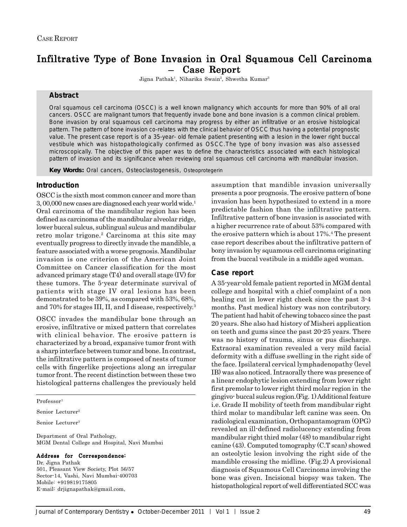# Infiltrative Type of Bone Invasion in Oral Squamous Cell Carcinoma – Case Report

Jigna Pathak<sup>1</sup>, Niharika Swain<sup>2</sup>, Shwetha Kumar<sup>3</sup>

## **Abstract**

Oral squamous cell carcinoma (OSCC) is a well known malignancy which accounts for more than 90% of all oral cancers. OSCC are malignant tumors that frequently invade bone and bone invasion is a common clinical problem. Bone invasion by oral squamous cell carcinoma may progress by either an infiltrative or an erosive histological pattern. The pattern of bone invasion co-relates with the clinical behavior of OSCC thus having a potential prognostic value. The present case report is of a 35-year- old female patient presenting with a lesion in the lower right buccal vestibule which was histopathologically confirmed as OSCC.The type of bony invasion was also assessed microscopically. The objective of this paper was to define the characteristics associated with each histological pattern of invasion and its significance when reviewing oral squamous cell carcinoma with mandibular invasion.

*Key Words:* Oral cancers, Osteoclastogenesis, Osteoprotegerin

# **Introduction**

OSCC is the sixth most common cancer and more than 3, 00,000 new cases are diagnosed each year world wide.1 Oral carcinoma of the mandibular region has been defined as carcinoma of the mandibular alveolar ridge, lower buccal sulcus, sublingual sulcus and mandibular retro molar trigone.<sup>2</sup> Carcinoma at this site may eventually progress to directly invade the mandible, a feature associated with a worse prognosis. Mandibular invasion is one criterion of the American Joint Committee on Cancer classification for the most advanced primary stage (T4) and overall stage (IV) for these tumors. The 5-year determinate survival of patients with stage IV oral lesions has been demonstrated to be 39%, as compared with 53%, 68%, and 70% for stages III, II, and I disease, respectively.3

OSCC invades the mandibular bone through an erosive, infiltrative or mixed pattern that correlates with clinical behavior. The erosive pattern is characterized by a broad, expansive tumor front with a sharp interface between tumor and bone. In contrast, the infiltrative pattern is composed of nests of tumor cells with fingerlike projections along an irregular tumor front. The recent distinction between these two histological patterns challenges the previously held

Professor<sup>1</sup>

Senior Lecturer2

Senior Lecturer3

Department of Oral Pathology, MGM Dental College and Hospital, Navi Mumbai

#### Address for Correspondence:

Dr. Jigna Pathak 501, Pleasant View Society, Plot 56/57 Sector-14, Vashi, Navi Mumbai-400703 Mobile: +919819175805 E-mail: drjignapathak@gmail.com,

assumption that mandible invasion universally presents a poor prognosis. The erosive pattern of bone invasion has been hypothesized to extend in a more predictable fashion than the infiltrative pattern. Infiltrative pattern of bone invasion is associated with a higher recurrence rate of about 53% compared with the erosive pattern which is about 17%.<sup>4</sup> The present case report describes about the infiltrative pattern of bony invasion by squamous cell carcinoma originating from the buccal vestibule in a middle aged woman.

#### **Case report**

A 35-year-old female patient reported in MGM dental college and hospital with a chief complaint of a non healing cut in lower right cheek since the past 3-4 months. Past medical history was non contributory. The patient had habit of chewing tobacco since the past 20 years. She also had history of Misheri application on teeth and gums since the past 20-25 years. There was no history of trauma, sinus or pus discharge. Extraoral examination revealed a very mild facial deformity with a diffuse swelling in the right side of the face. Ipsilateral cervical lymphadenopathy (level IB) was also noticed. Intraorally there was presence of a linear endophytic lesion extending from lower right first premolar to lower right third molar region in the gingivo- buccal sulcus region.(Fig. 1) Additional feature i.e. Grade II mobility of teeth from mandibular right third molar to mandibular left canine was seen. On radiological examination, Orthopantamogram (OPG) revealed an ill-defined radiolucency extending from mandibular right third molar (48) to mandibular right canine (43). Computed tomography (C.T scan) showed an osteolytic lesion involving the right side of the mandible crossing the midline. (Fig.2) A provisional diagnosis of Squamous Cell Carcinoma involving the bone was given. Incisional biopsy was taken. The histopathological report of well differentiated SCC was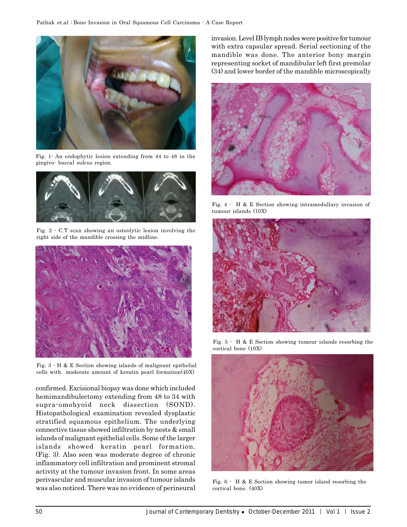

Fig. 1- An endophytic lesion extending from 44 to 48 in the gingivo- buccal sulcus region.



Fig. 2 - C.T scan showing an osteolytic lesion involving the right side of the mandible crossing the midline.



Fig. 3 - H & E Section showing islands of malignant epithelial cells with moderate amount of keratin pearl formation(40X)

confirmed. Excisional biopsy was done which included hemimandibulectomy extending from 48 to 34 with supra-omohyoid neck dissection (SOND). Histopathological examination revealed dysplastic stratified squamous epithelium. The underlying connective tissue showed infiltration by nests & small islands of malignant epithelial cells. Some of the larger islands showed keratin pearl formation. (Fig. 3). Also seen was moderate degree of chronic inflammatory cell infiltration and prominent stromal activity at the tumour invasion front. In some areas perivascular and muscular invasion of tumour islands was also noticed. There was no evidence of perineural invasion. Level IB lymph nodes were positive for tumour with extra capsular spread. Serial sectioning of the mandible was done. The anterior bony margin representing socket of mandibular left first premolar (34) and lower border of the mandible microscopically



Fig. 4 - H & E Section showing intramedullary invasion of tumour islands (10X)



Fig. 5 - H & E Section showing tumour islands resorbing the cortical bone (10X)



Fig. 6 - H & E Section showing tumor island resorbing the cortical bone. (40X)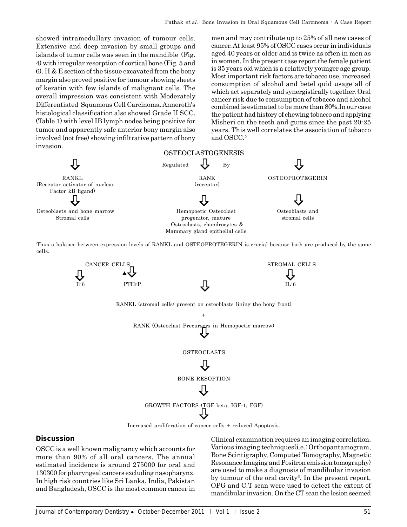showed intramedullary invasion of tumour cells. Extensive and deep invasion by small groups and islands of tumor cells was seen in the mandible (Fig. 4) with irregular resorption of cortical bone (Fig. 5 and 6). H & E section of the tissue excavated from the bony margin also proved positive for tumour showing sheets of keratin with few islands of malignant cells. The overall impression was consistent with Moderately Differentiated Squamous Cell Carcinoma. Anneroth's histological classification also showed Grade II SCC. (Table 1) with level IB lymph nodes being positive for tumor and apparently safe anterior bony margin also involved (not free) showing infiltrative pattern of bony invasion.

men and may contribute up to 25% of all new cases of cancer. At least 95% of OSCC cases occur in individuals aged 40 years or older and is twice as often in men as in women. In the present case report the female patient is 35 years old which is a relatively younger age group. Most important risk factors are tobacco use, increased consumption of alcohol and betel quid usage all of which act separately and synergistically together. Oral cancer risk due to consumption of tobacco and alcohol combined is estimated to be more than 80%.In our case the patient had history of chewing tobacco and applying Misheri on the teeth and gums since the past 20-25 years. This well correlates the association of tobacco and OSCC.5



Thus a balance between expression levels of RANKL and OSTEOPROTEGERIN is crucial because both are produced by the same cells.



# **Discussion**

OSCC is a well known malignancy which accounts for more than 90% of all oral cancers. The annual estimated incidence is around 275000 for oral and 130300 for pharyngeal cancers excluding nasopharynx. In high risk countries like Sri Lanka, India, Pakistan and Bangladesh, OSCC is the most common cancer in

Clinical examination requires an imaging correlation. Various imaging techniques(i.e.: Orthopantamogram, Bone Scintigraphy, Computed Tomography, Magnetic Resonance Imaging and Positron emission tomography) are used to make a diagnosis of mandibular invasion by tumour of the oral cavity<sup>6</sup>. In the present report, OPG and C.T scan were used to detect the extent of mandibular invasion. On the CT scan the lesion seemed